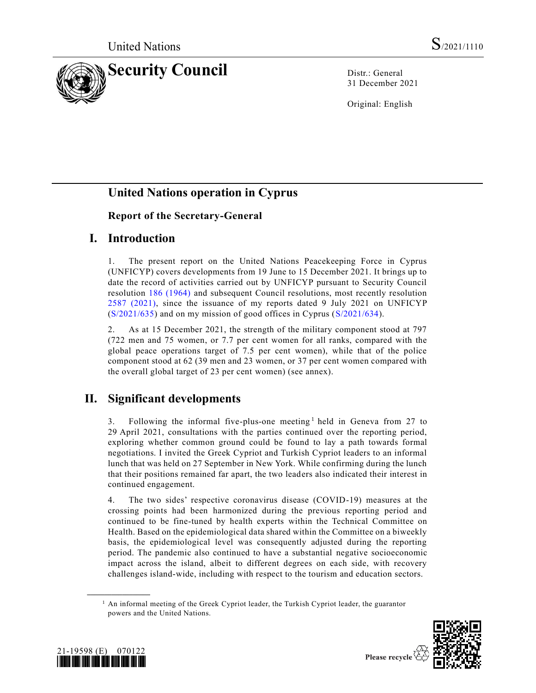

31 December 2021

Original: English

# **United Nations operation in Cyprus**

### **Report of the Secretary-General**

## **I. Introduction**

1. The present report on the United Nations Peacekeeping Force in Cyprus (UNFICYP) covers developments from 19 June to 15 December 2021. It brings up to date the record of activities carried out by UNFICYP pursuant to Security Council resolution [186 \(1964\)](https://undocs.org/en/S/RES/186(1964)) and subsequent Council resolutions, most recently resolution [2587 \(2021\),](https://undocs.org/en/S/RES/2587(2021)) since the issuance of my reports dated 9 July 2021 on UNFICYP [\(S/2021/635\)](https://undocs.org/en/S/2021/635) and on my mission of good offices in Cyprus [\(S/2021/634\)](https://undocs.org/en/S/2021/634).

2. As at 15 December 2021, the strength of the military component stood at 797 (722 men and 75 women, or 7.7 per cent women for all ranks, compared with the global peace operations target of 7.5 per cent women), while that of the police component stood at 62 (39 men and 23 women, or 37 per cent women compared with the overall global target of 23 per cent women) (see annex).

# **II. Significant developments**

3. Following the informal five-plus-one meeting<sup>1</sup> held in Geneva from 27 to 29 April 2021, consultations with the parties continued over the reporting period, exploring whether common ground could be found to lay a path towards formal negotiations. I invited the Greek Cypriot and Turkish Cypriot leaders to an informal lunch that was held on 27 September in New York. While confirming during the lunch that their positions remained far apart, the two leaders also indicated their interest in continued engagement.

4. The two sides' respective coronavirus disease (COVID-19) measures at the crossing points had been harmonized during the previous reporting period and continued to be fine-tuned by health experts within the Technical Committee on Health. Based on the epidemiological data shared within the Committee on a biweekly basis, the epidemiological level was consequently adjusted during the reporting period. The pandemic also continued to have a substantial negative socioeconomic impact across the island, albeit to different degrees on each side, with recovery challenges island-wide, including with respect to the tourism and education sectors.

 $<sup>1</sup>$  An informal meeting of the Greek Cypriot leader, the Turkish Cypriot leader, the guarantor</sup> powers and the United Nations.





**\_\_\_\_\_\_\_\_\_\_\_\_\_\_\_\_\_\_**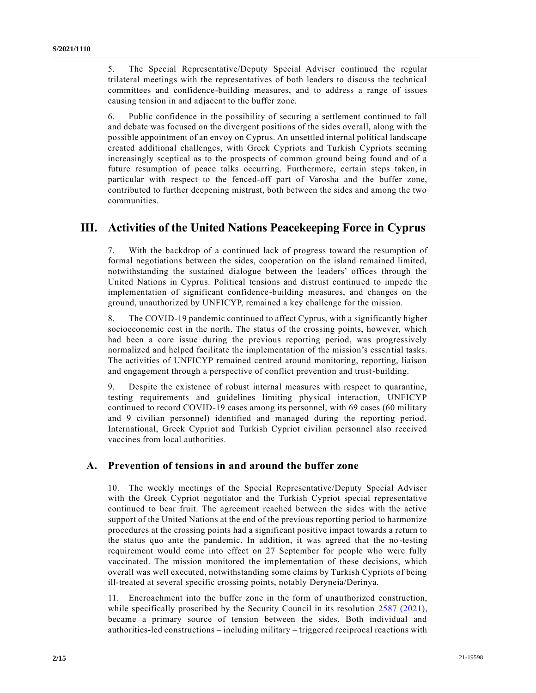5. The Special Representative/Deputy Special Adviser continued the regular trilateral meetings with the representatives of both leaders to discuss the technical committees and confidence-building measures, and to address a range of issues causing tension in and adjacent to the buffer zone.

6. Public confidence in the possibility of securing a settlement continued to fall and debate was focused on the divergent positions of the sides overall, along with the possible appointment of an envoy on Cyprus. An unsettled internal political landscape created additional challenges, with Greek Cypriots and Turkish Cypriots seeming increasingly sceptical as to the prospects of common ground being found and of a future resumption of peace talks occurring. Furthermore, certain steps taken, in particular with respect to the fenced-off part of Varosha and the buffer zone, contributed to further deepening mistrust, both between the sides and among the two communities.

## **III. Activities of the United Nations Peacekeeping Force in Cyprus**

7. With the backdrop of a continued lack of progress toward the resumption of formal negotiations between the sides, cooperation on the island remained limited, notwithstanding the sustained dialogue between the leaders' offices through the United Nations in Cyprus. Political tensions and distrust continued to impede the implementation of significant confidence-building measures, and changes on the ground, unauthorized by UNFICYP, remained a key challenge for the mission.

8. The COVID-19 pandemic continued to affect Cyprus, with a significantly higher socioeconomic cost in the north. The status of the crossing points, however, which had been a core issue during the previous reporting period, was progressively normalized and helped facilitate the implementation of the mission's essential tasks. The activities of UNFICYP remained centred around monitoring, reporting, liaison and engagement through a perspective of conflict prevention and trust-building.

9. Despite the existence of robust internal measures with respect to quarantine, testing requirements and guidelines limiting physical interaction, UNFICYP continued to record COVID-19 cases among its personnel, with 69 cases (60 military and 9 civilian personnel) identified and managed during the reporting period. International, Greek Cypriot and Turkish Cypriot civilian personnel also received vaccines from local authorities.

#### **A. Prevention of tensions in and around the buffer zone**

10. The weekly meetings of the Special Representative/Deputy Special Adviser with the Greek Cypriot negotiator and the Turkish Cypriot special representative continued to bear fruit. The agreement reached between the sides with the active support of the United Nations at the end of the previous reporting period to harmonize procedures at the crossing points had a significant positive impact towards a return to the status quo ante the pandemic. In addition, it was agreed that the no -testing requirement would come into effect on 27 September for people who were fully vaccinated. The mission monitored the implementation of these decisions, which overall was well executed, notwithstanding some claims by Turkish Cypriots of being ill-treated at several specific crossing points, notably Deryneia/Derinya.

11. Encroachment into the buffer zone in the form of unauthorized construction, while specifically proscribed by the Security Council in its resolution [2587 \(2021\),](https://undocs.org/en/S/RES/2587(2021)) became a primary source of tension between the sides. Both individual and authorities-led constructions – including military – triggered reciprocal reactions with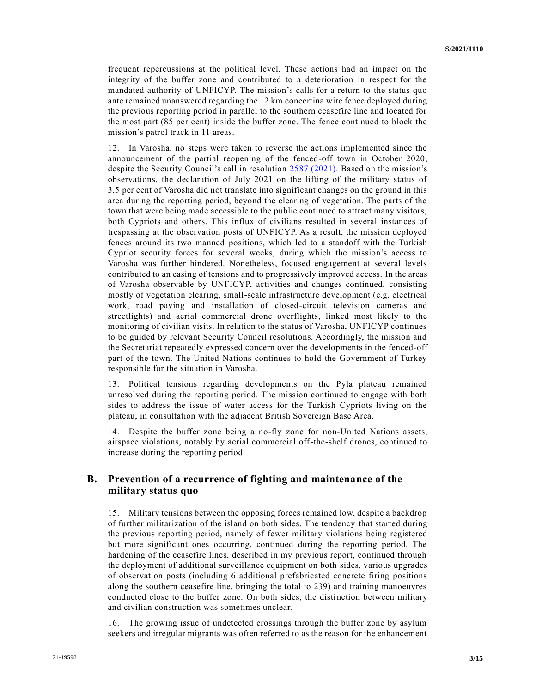frequent repercussions at the political level. These actions had an impact on the integrity of the buffer zone and contributed to a deterioration in respect for the mandated authority of UNFICYP. The mission's calls for a return to the status quo ante remained unanswered regarding the 12 km concertina wire fence deployed during the previous reporting period in parallel to the southern ceasefire line and located for the most part (85 per cent) inside the buffer zone. The fence continued to block the mission's patrol track in 11 areas.

12. In Varosha, no steps were taken to reverse the actions implemented since the announcement of the partial reopening of the fenced-off town in October 2020, despite the Security Council's call in resolution [2587 \(2021\).](https://undocs.org/en/S/RES/2587(2021)) Based on the mission's observations, the declaration of July 2021 on the lifting of the military status of 3.5 per cent of Varosha did not translate into significant changes on the ground in this area during the reporting period, beyond the clearing of vegetation. The parts of the town that were being made accessible to the public continued to attract many visitors, both Cypriots and others. This influx of civilians resulted in several instances of trespassing at the observation posts of UNFICYP. As a result, the mission deployed fences around its two manned positions, which led to a standoff with the Turkish Cypriot security forces for several weeks, during which the mission's access to Varosha was further hindered. Nonetheless, focused engagement at several levels contributed to an easing of tensions and to progressively improved access. In the areas of Varosha observable by UNFICYP, activities and changes continued, consisting mostly of vegetation clearing, small-scale infrastructure development (e.g. electrical work, road paving and installation of closed-circuit television cameras and streetlights) and aerial commercial drone overflights, linked most likely to the monitoring of civilian visits. In relation to the status of Varosha, UNFICYP continues to be guided by relevant Security Council resolutions. Accordingly, the mission and the Secretariat repeatedly expressed concern over the developments in the fenced-off part of the town. The United Nations continues to hold the Government of Turkey responsible for the situation in Varosha.

13. Political tensions regarding developments on the Pyla plateau remained unresolved during the reporting period. The mission continued to engage with both sides to address the issue of water access for the Turkish Cypriots living on the plateau, in consultation with the adjacent British Sovereign Base Area.

14. Despite the buffer zone being a no-fly zone for non-United Nations assets, airspace violations, notably by aerial commercial off-the-shelf drones, continued to increase during the reporting period.

### **B. Prevention of a recurrence of fighting and maintenance of the military status quo**

15. Military tensions between the opposing forces remained low, despite a backdrop of further militarization of the island on both sides. The tendency that started during the previous reporting period, namely of fewer military violations being registered but more significant ones occurring, continued during the reporting period. The hardening of the ceasefire lines, described in my previous report, continued through the deployment of additional surveillance equipment on both sides, various upgrades of observation posts (including 6 additional prefabricated concrete firing positions along the southern ceasefire line, bringing the total to 239) and training manoeuvres conducted close to the buffer zone. On both sides, the distinction between military and civilian construction was sometimes unclear.

16. The growing issue of undetected crossings through the buffer zone by asylum seekers and irregular migrants was often referred to as the reason for the enhancement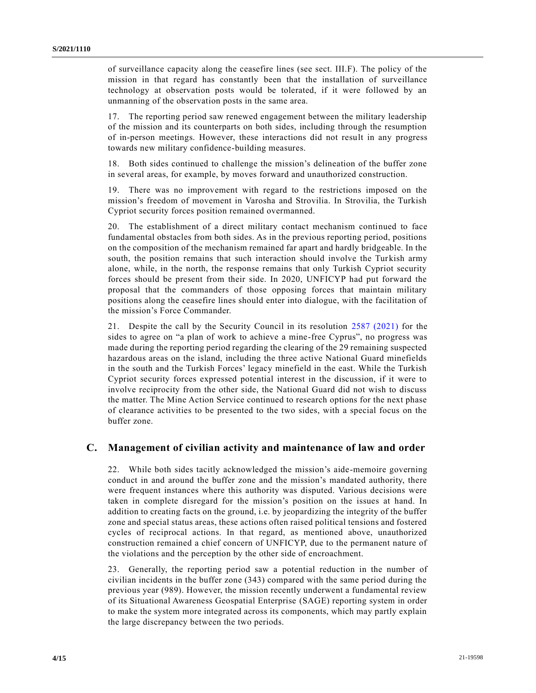of surveillance capacity along the ceasefire lines (see sect. III.F). The policy of the mission in that regard has constantly been that the installation of surveillance technology at observation posts would be tolerated, if it were followed by an unmanning of the observation posts in the same area.

17. The reporting period saw renewed engagement between the military leadership of the mission and its counterparts on both sides, including through the resumption of in-person meetings. However, these interactions did not result in any progress towards new military confidence-building measures.

18. Both sides continued to challenge the mission's delineation of the buffer zone in several areas, for example, by moves forward and unauthorized construction.

19. There was no improvement with regard to the restrictions imposed on the mission's freedom of movement in Varosha and Strovilia. In Strovilia, the Turkish Cypriot security forces position remained overmanned.

20. The establishment of a direct military contact mechanism continued to face fundamental obstacles from both sides. As in the previous reporting period, positions on the composition of the mechanism remained far apart and hardly bridgeable. In the south, the position remains that such interaction should involve the Turkish army alone, while, in the north, the response remains that only Turkish Cypriot security forces should be present from their side. In 2020, UNFICYP had put forward the proposal that the commanders of those opposing forces that maintain military positions along the ceasefire lines should enter into dialogue, with the facilitation of the mission's Force Commander.

21. Despite the call by the Security Council in its resolution [2587 \(2021\)](https://undocs.org/en/S/RES/2587(2021)) for the sides to agree on "a plan of work to achieve a mine-free Cyprus", no progress was made during the reporting period regarding the clearing of the 29 remaining suspected hazardous areas on the island, including the three active National Guard minefields in the south and the Turkish Forces' legacy minefield in the east. While the Turkish Cypriot security forces expressed potential interest in the discussion, if it were to involve reciprocity from the other side, the National Guard did not wish to discuss the matter. The Mine Action Service continued to research options for the next phase of clearance activities to be presented to the two sides, with a special focus on the buffer zone.

### **C. Management of civilian activity and maintenance of law and order**

22. While both sides tacitly acknowledged the mission's aide-memoire governing conduct in and around the buffer zone and the mission's mandated authority, there were frequent instances where this authority was disputed. Various decisions were taken in complete disregard for the mission's position on the issues at hand. In addition to creating facts on the ground, i.e. by jeopardizing the integrity of the buffer zone and special status areas, these actions often raised political tensions and fostered cycles of reciprocal actions. In that regard, as mentioned above, unauthorized construction remained a chief concern of UNFICYP, due to the permanent nature of the violations and the perception by the other side of encroachment.

23. Generally, the reporting period saw a potential reduction in the number of civilian incidents in the buffer zone (343) compared with the same period during the previous year (989). However, the mission recently underwent a fundamental review of its Situational Awareness Geospatial Enterprise (SAGE) reporting system in order to make the system more integrated across its components, which may partly explain the large discrepancy between the two periods.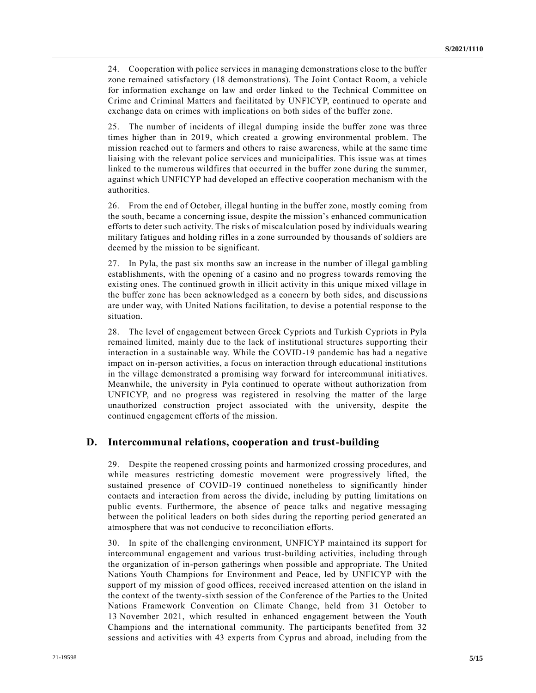24. Cooperation with police services in managing demonstrations close to the buffer zone remained satisfactory (18 demonstrations). The Joint Contact Room, a vehicle for information exchange on law and order linked to the Technical Committee on Crime and Criminal Matters and facilitated by UNFICYP, continued to operate and exchange data on crimes with implications on both sides of the buffer zone.

25. The number of incidents of illegal dumping inside the buffer zone was three times higher than in 2019, which created a growing environmental problem. The mission reached out to farmers and others to raise awareness, while at the same time liaising with the relevant police services and municipalities. This issue was at times linked to the numerous wildfires that occurred in the buffer zone during the summer, against which UNFICYP had developed an effective cooperation mechanism with the authorities.

26. From the end of October, illegal hunting in the buffer zone, mostly coming from the south, became a concerning issue, despite the mission's enhanced communication efforts to deter such activity. The risks of miscalculation posed by individuals wearing military fatigues and holding rifles in a zone surrounded by thousands of soldiers are deemed by the mission to be significant.

27. In Pyla, the past six months saw an increase in the number of illegal gambling establishments, with the opening of a casino and no progress towards removing the existing ones. The continued growth in illicit activity in this unique mixed village in the buffer zone has been acknowledged as a concern by both sides, and discussio ns are under way, with United Nations facilitation, to devise a potential response to the situation.

28. The level of engagement between Greek Cypriots and Turkish Cypriots in Pyla remained limited, mainly due to the lack of institutional structures supporting their interaction in a sustainable way. While the COVID-19 pandemic has had a negative impact on in-person activities, a focus on interaction through educational institutions in the village demonstrated a promising way forward for intercommunal initi atives. Meanwhile, the university in Pyla continued to operate without authorization from UNFICYP, and no progress was registered in resolving the matter of the large unauthorized construction project associated with the university, despite the continued engagement efforts of the mission.

#### **D. Intercommunal relations, cooperation and trust-building**

29. Despite the reopened crossing points and harmonized crossing procedures, and while measures restricting domestic movement were progressively lifted, the sustained presence of COVID-19 continued nonetheless to significantly hinder contacts and interaction from across the divide, including by putting limitations on public events. Furthermore, the absence of peace talks and negative messaging between the political leaders on both sides during the reporting period generated an atmosphere that was not conducive to reconciliation efforts.

30. In spite of the challenging environment, UNFICYP maintained its support for intercommunal engagement and various trust-building activities, including through the organization of in-person gatherings when possible and appropriate. The United Nations Youth Champions for Environment and Peace, led by UNFICYP with the support of my mission of good offices, received increased attention on the island in the context of the twenty-sixth session of the Conference of the Parties to the United Nations Framework Convention on Climate Change, held from 31 October to 13 November 2021, which resulted in enhanced engagement between the Youth Champions and the international community. The participants benefited from 32 sessions and activities with 43 experts from Cyprus and abroad, including from the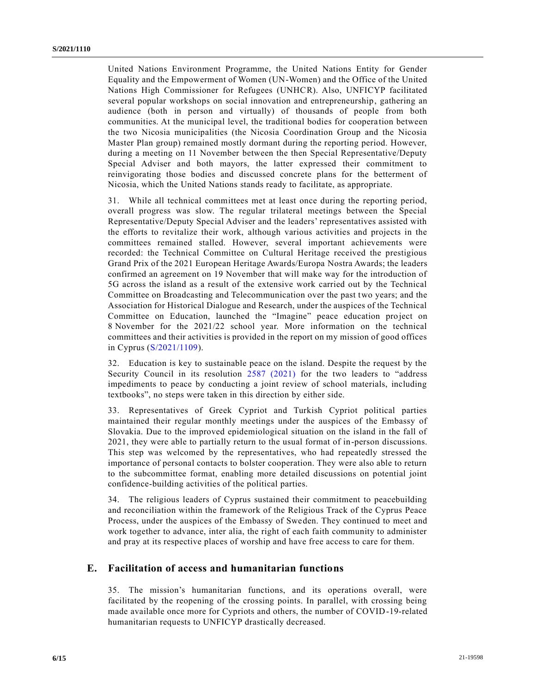United Nations Environment Programme, the United Nations Entity for Gender Equality and the Empowerment of Women (UN-Women) and the Office of the United Nations High Commissioner for Refugees (UNHCR). Also, UNFICYP facilitated several popular workshops on social innovation and entrepreneurship, gathering an audience (both in person and virtually) of thousands of people from both communities. At the municipal level, the traditional bodies for coopera tion between the two Nicosia municipalities (the Nicosia Coordination Group and the Nicosia Master Plan group) remained mostly dormant during the reporting period. However, during a meeting on 11 November between the then Special Representative/Deputy Special Adviser and both mayors, the latter expressed their commitment to reinvigorating those bodies and discussed concrete plans for the betterment of Nicosia, which the United Nations stands ready to facilitate, as appropriate.

31. While all technical committees met at least once during the reporting period, overall progress was slow. The regular trilateral meetings between the Special Representative/Deputy Special Adviser and the leaders' representatives assisted with the efforts to revitalize their work, although various activities and projects in the committees remained stalled. However, several important achievements were recorded: the Technical Committee on Cultural Heritage received the prestigious Grand Prix of the 2021 European Heritage Awards/Europa Nostra Awards; the leaders confirmed an agreement on 19 November that will make way for the introduction of 5G across the island as a result of the extensive work carried out by the Technical Committee on Broadcasting and Telecommunication over the past two years; and the Association for Historical Dialogue and Research, under the auspices of the Technical Committee on Education, launched the "Imagine" peace education project on 8 November for the 2021/22 school year. More information on the technical committees and their activities is provided in the report on my mission of good offices in Cyprus [\(S/2021/1109\)](https://undocs.org/en/S/2021/1109).

32. Education is key to sustainable peace on the island. Despite the request by the Security Council in its resolution [2587 \(2021\)](https://undocs.org/en/S/RES/2587(2021)) for the two leaders to "address impediments to peace by conducting a joint review of school materials, including textbooks", no steps were taken in this direction by either side.

33. Representatives of Greek Cypriot and Turkish Cypriot political parties maintained their regular monthly meetings under the auspices of the Embassy of Slovakia. Due to the improved epidemiological situation on the island in the fall of 2021, they were able to partially return to the usual format of in-person discussions. This step was welcomed by the representatives, who had repeatedly stressed the importance of personal contacts to bolster cooperation. They were also able to return to the subcommittee format, enabling more detailed discussions on potential joint confidence-building activities of the political parties.

34. The religious leaders of Cyprus sustained their commitment to peacebuilding and reconciliation within the framework of the Religious Track of the Cyprus Peace Process, under the auspices of the Embassy of Sweden. They continued to meet and work together to advance, inter alia, the right of each faith community to administer and pray at its respective places of worship and have free access to care for them.

#### **E. Facilitation of access and humanitarian functions**

35. The mission's humanitarian functions, and its operations overall, were facilitated by the reopening of the crossing points. In parallel, with crossing being made available once more for Cypriots and others, the number of COVID-19-related humanitarian requests to UNFICYP drastically decreased.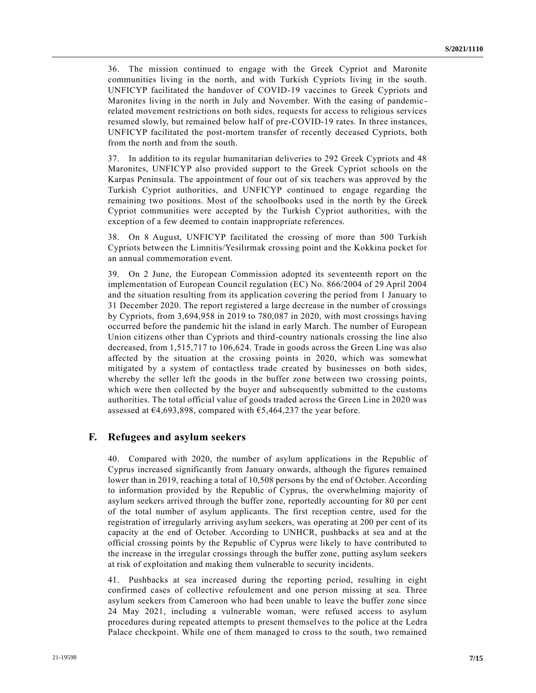36. The mission continued to engage with the Greek Cypriot and Maronite communities living in the north, and with Turkish Cypriots living in the south. UNFICYP facilitated the handover of COVID-19 vaccines to Greek Cypriots and Maronites living in the north in July and November. With the easing of pandemic related movement restrictions on both sides, requests for access to religious services resumed slowly, but remained below half of pre-COVID-19 rates. In three instances, UNFICYP facilitated the post-mortem transfer of recently deceased Cypriots, both from the north and from the south.

37. In addition to its regular humanitarian deliveries to 292 Greek Cypriots and 48 Maronites, UNFICYP also provided support to the Greek Cypriot schools on the Karpas Peninsula. The appointment of four out of six teachers was approved by the Turkish Cypriot authorities, and UNFICYP continued to engage regarding the remaining two positions. Most of the schoolbooks used in the north by the Greek Cypriot communities were accepted by the Turkish Cypriot authorities, with the exception of a few deemed to contain inappropriate references.

38. On 8 August, UNFICYP facilitated the crossing of more than 500 Turkish Cypriots between the Limnitis/Yesilırmak crossing point and the Kokkina pocket for an annual commemoration event.

39. On 2 June, the European Commission adopted its seventeenth report on the implementation of European Council regulation (EC) No. 866/2004 of 29 April 2004 and the situation resulting from its application covering the period from 1 January to 31 December 2020. The report registered a large decrease in the number of crossings by Cypriots, from 3,694,958 in 2019 to 780,087 in 2020, with most crossings having occurred before the pandemic hit the island in early March. The number of European Union citizens other than Cypriots and third-country nationals crossing the line also decreased, from 1,515,717 to 106,624. Trade in goods across the Green Line was also affected by the situation at the crossing points in 2020, which was somewhat mitigated by a system of contactless trade created by businesses on both sides, whereby the seller left the goods in the buffer zone between two crossing points, which were then collected by the buyer and subsequently submitted to the customs authorities. The total official value of goods traded across the Green Line in 2020 was assessed at  $\epsilon$ 4,693,898, compared with  $\epsilon$ 5,464,237 the year before.

#### **F. Refugees and asylum seekers**

40. Compared with 2020, the number of asylum applications in the Republic of Cyprus increased significantly from January onwards, although the figures remained lower than in 2019, reaching a total of 10,508 persons by the end of October. According to information provided by the Republic of Cyprus, the overwhelming majority of asylum seekers arrived through the buffer zone, reportedly accounting for 80 per cent of the total number of asylum applicants. The first reception centre, used for the registration of irregularly arriving asylum seekers, was operating at 200 per cent of its capacity at the end of October. According to UNHCR, pushbacks at sea and at the official crossing points by the Republic of Cyprus were likely to have contributed to the increase in the irregular crossings through the buffer zone, putting asylum seekers at risk of exploitation and making them vulnerable to security incidents.

41. Pushbacks at sea increased during the reporting period, resulting in eight confirmed cases of collective refoulement and one person missing at sea. Three asylum seekers from Cameroon who had been unable to leave the buffer zone since 24 May 2021, including a vulnerable woman, were refused access to asylum procedures during repeated attempts to present themselves to the police at the Ledra Palace checkpoint. While one of them managed to cross to the south, two remained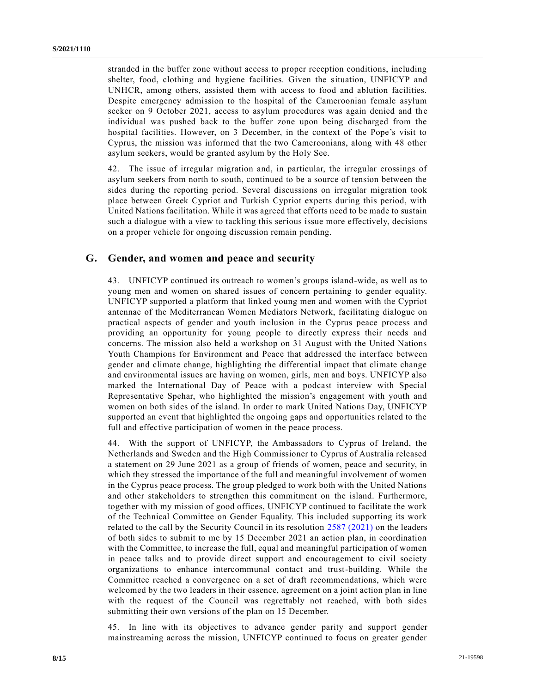stranded in the buffer zone without access to proper reception conditions, including shelter, food, clothing and hygiene facilities. Given the situation, UNFICYP and UNHCR, among others, assisted them with access to food and ablution facilities. Despite emergency admission to the hospital of the Cameroonian female asylum seeker on 9 October 2021, access to asylum procedures was again denied and the individual was pushed back to the buffer zone upon being discharged from the hospital facilities. However, on 3 December, in the context of the Pope's visit to Cyprus, the mission was informed that the two Cameroonians, along with 48 other asylum seekers, would be granted asylum by the Holy See.

42. The issue of irregular migration and, in particular, the irregular crossings of asylum seekers from north to south, continued to be a source of tension between the sides during the reporting period. Several discussions on irregular migration took place between Greek Cypriot and Turkish Cypriot experts during this period, with United Nations facilitation. While it was agreed that efforts need to be made to sustain such a dialogue with a view to tackling this serious issue more effectively, decisions on a proper vehicle for ongoing discussion remain pending.

#### **G. Gender, and women and peace and security**

43. UNFICYP continued its outreach to women's groups island-wide, as well as to young men and women on shared issues of concern pertaining to gender equality. UNFICYP supported a platform that linked young men and women with the Cypriot antennae of the Mediterranean Women Mediators Network, facilitating dialogue on practical aspects of gender and youth inclusion in the Cyprus peace process and providing an opportunity for young people to directly express their needs and concerns. The mission also held a workshop on 31 August with the United Nations Youth Champions for Environment and Peace that addressed the interface between gender and climate change, highlighting the differential impact that climate change and environmental issues are having on women, girls, men and boys. UNFICYP also marked the International Day of Peace with a podcast interview with Special Representative Spehar, who highlighted the mission's engagement with youth and women on both sides of the island. In order to mark United Nations Day, UNFICYP supported an event that highlighted the ongoing gaps and opportunities related to the full and effective participation of women in the peace process.

44. With the support of UNFICYP, the Ambassadors to Cyprus of Ireland, the Netherlands and Sweden and the High Commissioner to Cyprus of Australia released a statement on 29 June 2021 as a group of friends of women, peace and security, in which they stressed the importance of the full and meaningful involvement of women in the Cyprus peace process. The group pledged to work both with the United Nations and other stakeholders to strengthen this commitment on the island. Furthermore, together with my mission of good offices, UNFICYP continued to facilitate the work of the Technical Committee on Gender Equality. This included supporting its work related to the call by the Security Council in its resolution [2587 \(2021\)](https://undocs.org/en/S/RES/2587(2021)) on the leaders of both sides to submit to me by 15 December 2021 an action plan, in coordination with the Committee, to increase the full, equal and meaningful participation of women in peace talks and to provide direct support and encouragement to civil society organizations to enhance intercommunal contact and trust-building. While the Committee reached a convergence on a set of draft recommendations, which were welcomed by the two leaders in their essence, agreement on a joint action plan in line with the request of the Council was regrettably not reached, with both sides submitting their own versions of the plan on 15 December.

45. In line with its objectives to advance gender parity and support gender mainstreaming across the mission, UNFICYP continued to focus on greater gender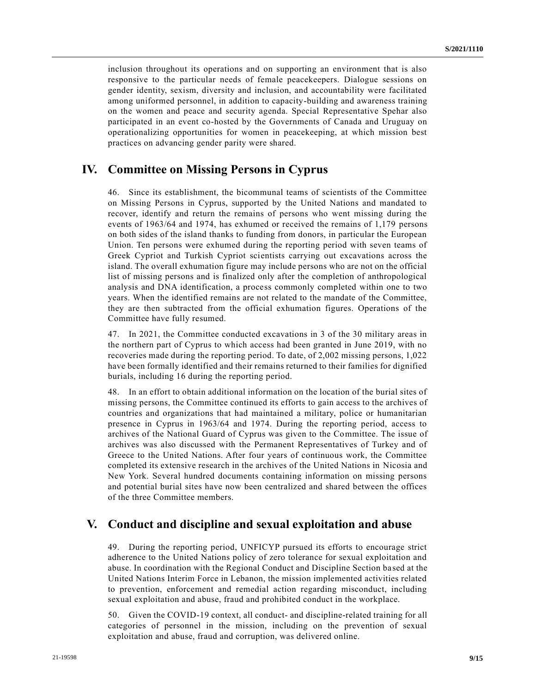inclusion throughout its operations and on supporting an environment that is also responsive to the particular needs of female peacekeepers. Dialogue sessions on gender identity, sexism, diversity and inclusion, and accountability were facilitated among uniformed personnel, in addition to capacity-building and awareness training on the women and peace and security agenda. Special Representative Spehar also participated in an event co-hosted by the Governments of Canada and Uruguay on operationalizing opportunities for women in peacekeeping, at which mission best practices on advancing gender parity were shared.

## **IV. Committee on Missing Persons in Cyprus**

46. Since its establishment, the bicommunal teams of scientists of the Committee on Missing Persons in Cyprus, supported by the United Nations and mandated to recover, identify and return the remains of persons who went missing during the events of 1963/64 and 1974, has exhumed or received the remains of 1,179 persons on both sides of the island thanks to funding from donors, in particular the European Union. Ten persons were exhumed during the reporting period with seven teams of Greek Cypriot and Turkish Cypriot scientists carrying out excavations across the island. The overall exhumation figure may include persons who are not on the official list of missing persons and is finalized only after the completion of anthropological analysis and DNA identification, a process commonly completed within one to two years. When the identified remains are not related to the mandate of the Committee, they are then subtracted from the official exhumation figures. Operations of the Committee have fully resumed.

47. In 2021, the Committee conducted excavations in 3 of the 30 military areas in the northern part of Cyprus to which access had been granted in June 2019, with no recoveries made during the reporting period. To date, of 2,002 missing persons, 1,022 have been formally identified and their remains returned to their families for dignified burials, including 16 during the reporting period.

48. In an effort to obtain additional information on the location of the burial sites of missing persons, the Committee continued its efforts to gain access to the archives of countries and organizations that had maintained a military, police or humanitarian presence in Cyprus in 1963/64 and 1974. During the reporting period, access to archives of the National Guard of Cyprus was given to the Committee. The issue of archives was also discussed with the Permanent Representatives of Turkey and of Greece to the United Nations. After four years of continuous work, the Committee completed its extensive research in the archives of the United Nations in Nicosia and New York. Several hundred documents containing information on missing persons and potential burial sites have now been centralized and shared between the offices of the three Committee members.

## **V. Conduct and discipline and sexual exploitation and abuse**

49. During the reporting period, UNFICYP pursued its efforts to encourage strict adherence to the United Nations policy of zero tolerance for sexual exploitation and abuse. In coordination with the Regional Conduct and Discipline Section ba sed at the United Nations Interim Force in Lebanon, the mission implemented activities related to prevention, enforcement and remedial action regarding misconduct, including sexual exploitation and abuse, fraud and prohibited conduct in the workplace.

50. Given the COVID-19 context, all conduct- and discipline-related training for all categories of personnel in the mission, including on the prevention of sexual exploitation and abuse, fraud and corruption, was delivered online.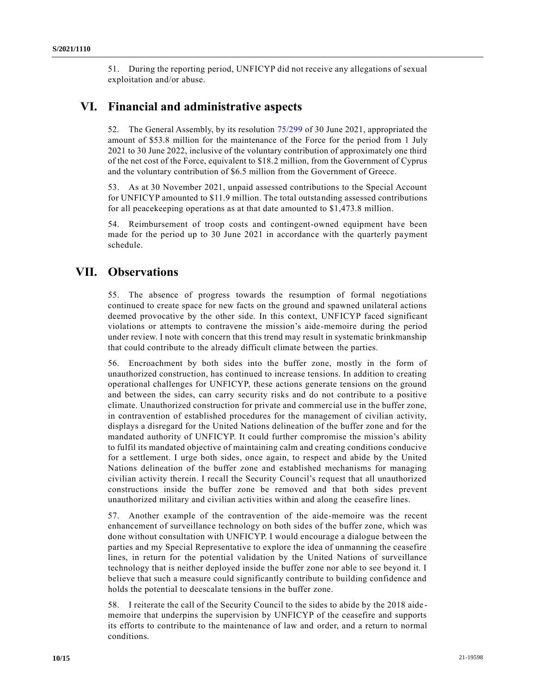51. During the reporting period, UNFICYP did not receive any allegations of sexual exploitation and/or abuse.

## **VI. Financial and administrative aspects**

52. The General Assembly, by its resolution [75/299](https://undocs.org/en/A/RES/75/299) of 30 June 2021, appropriated the amount of \$53.8 million for the maintenance of the Force for the period from 1 July 2021 to 30 June 2022, inclusive of the voluntary contribution of approximately one third of the net cost of the Force, equivalent to \$18.2 million, from the Government of Cyprus and the voluntary contribution of \$6.5 million from the Government of Greece.

53. As at 30 November 2021, unpaid assessed contributions to the Special Account for UNFICYP amounted to \$11.9 million. The total outstanding assessed contributions for all peacekeeping operations as at that date amounted to \$1,473.8 million.

54. Reimbursement of troop costs and contingent-owned equipment have been made for the period up to 30 June 2021 in accordance with the quarterly payment schedule.

## **VII. Observations**

55. The absence of progress towards the resumption of formal negotiations continued to create space for new facts on the ground and spawned unilateral actions deemed provocative by the other side. In this context, UNFICYP faced significant violations or attempts to contravene the mission's aide-memoire during the period under review. I note with concern that this trend may result in systematic brinkmanship that could contribute to the already difficult climate between the parties.

56. Encroachment by both sides into the buffer zone, mostly in the form of unauthorized construction, has continued to increase tensions. In addition to creating operational challenges for UNFICYP, these actions generate tensions on the ground and between the sides, can carry security risks and do not contribute to a positive climate. Unauthorized construction for private and commercial use in the buffer zone, in contravention of established procedures for the management of civilian activity, displays a disregard for the United Nations delineation of the buffer zone and for the mandated authority of UNFICYP. It could further compromise the mission's ability to fulfil its mandated objective of maintaining calm and creating conditions conducive for a settlement. I urge both sides, once again, to respect and abide by the United Nations delineation of the buffer zone and established mechanisms for managing civilian activity therein. I recall the Security Council's request that all unauthorized constructions inside the buffer zone be removed and that both sides prevent unauthorized military and civilian activities within and along the ceasefire lines.

57. Another example of the contravention of the aide-memoire was the recent enhancement of surveillance technology on both sides of the buffer zone, which was done without consultation with UNFICYP. I would encourage a dialogue between the parties and my Special Representative to explore the idea of unmanning the ceasefire lines, in return for the potential validation by the United Nations of surveillance technology that is neither deployed inside the buffer zone nor able to see beyond it. I believe that such a measure could significantly contribute to building confidence and holds the potential to deescalate tensions in the buffer zone.

58. I reiterate the call of the Security Council to the sides to abide by the 2018 aide memoire that underpins the supervision by UNFICYP of the ceasefire and supports its efforts to contribute to the maintenance of law and order, and a return to normal conditions.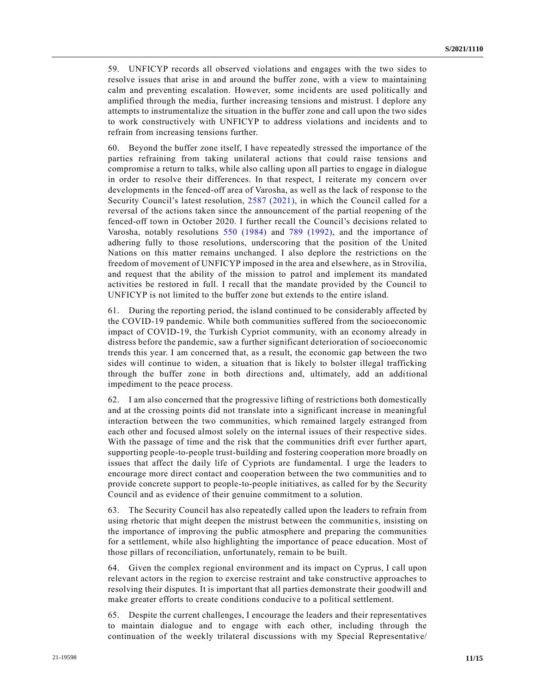59. UNFICYP records all observed violations and engages with the two sides to resolve issues that arise in and around the buffer zone, with a view to maintaining calm and preventing escalation. However, some incidents are used politically and amplified through the media, further increasing tensions and mistrust. I deplore any attempts to instrumentalize the situation in the buffer zone and call upon the two sides to work constructively with UNFICYP to address violations and incidents and to refrain from increasing tensions further.

60. Beyond the buffer zone itself, I have repeatedly stressed the importance of the parties refraining from taking unilateral actions that could raise tensions and compromise a return to talks, while also calling upon all parties to engage in dialogue in order to resolve their differences. In that respect, I reiterate my concern over developments in the fenced-off area of Varosha, as well as the lack of response to the Security Council's latest resolution, [2587 \(2021\),](https://undocs.org/en/S/RES/2587(2021)) in which the Council called for a reversal of the actions taken since the announcement of the partial reopening of the fenced-off town in October 2020. I further recall the Council's decisions related to Varosha, notably resolutions [550 \(1984\)](https://undocs.org/en/S/RES/550(1984)) and [789 \(1992\),](https://undocs.org/en/S/RES/789(1992)) and the importance of adhering fully to those resolutions, underscoring that the position of the United Nations on this matter remains unchanged. I also deplore the restrictions on the freedom of movement of UNFICYP imposed in the area and elsewhere, as in Strovilia, and request that the ability of the mission to patrol and implement its mandated activities be restored in full. I recall that the mandate provided by the Council to UNFICYP is not limited to the buffer zone but extends to the entire island.

61. During the reporting period, the island continued to be considerably affected by the COVID-19 pandemic. While both communities suffered from the socioeconomic impact of COVID-19, the Turkish Cypriot community, with an economy already in distress before the pandemic, saw a further significant deterioration of socioeconomic trends this year. I am concerned that, as a result, the economic gap between the two sides will continue to widen, a situation that is likely to bolster illegal trafficking through the buffer zone in both directions and, ultimately, add an additional impediment to the peace process.

62. I am also concerned that the progressive lifting of restrictions both domestically and at the crossing points did not translate into a significant increase in meaningful interaction between the two communities, which remained largely estranged from each other and focused almost solely on the internal issues of their respective sides. With the passage of time and the risk that the communities drift ever further apart, supporting people-to-people trust-building and fostering cooperation more broadly on issues that affect the daily life of Cypriots are fundamental. I urge the leaders to encourage more direct contact and cooperation between the two communities and to provide concrete support to people-to-people initiatives, as called for by the Security Council and as evidence of their genuine commitment to a solution.

63. The Security Council has also repeatedly called upon the leaders to refrain from using rhetoric that might deepen the mistrust between the communitie s, insisting on the importance of improving the public atmosphere and preparing the communities for a settlement, while also highlighting the importance of peace education. Most of those pillars of reconciliation, unfortunately, remain to be built.

64. Given the complex regional environment and its impact on Cyprus, I call upon relevant actors in the region to exercise restraint and take constructive approaches to resolving their disputes. It is important that all parties demonstrate their goodwill and make greater efforts to create conditions conducive to a political settlement.

65. Despite the current challenges, I encourage the leaders and their representatives to maintain dialogue and to engage with each other, including through the continuation of the weekly trilateral discussions with my Special Representative/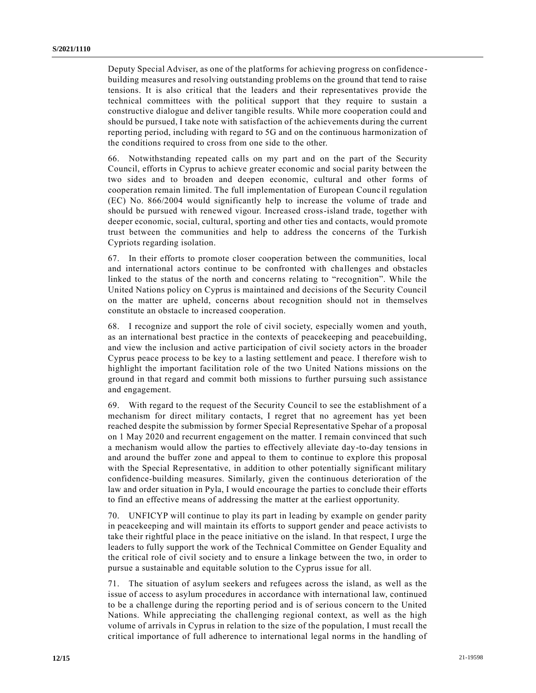Deputy Special Adviser, as one of the platforms for achieving progress on confidence building measures and resolving outstanding problems on the ground that tend to raise tensions. It is also critical that the leaders and their representatives provide the technical committees with the political support that they require to sustain a constructive dialogue and deliver tangible results. While more cooperation could and should be pursued, I take note with satisfaction of the achievements during the current reporting period, including with regard to 5G and on the continuous harmonization of the conditions required to cross from one side to the other.

66. Notwithstanding repeated calls on my part and on the part of the Security Council, efforts in Cyprus to achieve greater economic and social parity between the two sides and to broaden and deepen economic, cultural and other forms of cooperation remain limited. The full implementation of European Counc il regulation (EC) No. 866/2004 would significantly help to increase the volume of trade and should be pursued with renewed vigour. Increased cross-island trade, together with deeper economic, social, cultural, sporting and other ties and contacts, would promote trust between the communities and help to address the concerns of the Turkish Cypriots regarding isolation.

67. In their efforts to promote closer cooperation between the communities, local and international actors continue to be confronted with challenges and obstacles linked to the status of the north and concerns relating to "recognition". While the United Nations policy on Cyprus is maintained and decisions of the Security Council on the matter are upheld, concerns about recognition should not in themselves constitute an obstacle to increased cooperation.

68. I recognize and support the role of civil society, especially women and youth, as an international best practice in the contexts of peacekeeping and peacebuilding, and view the inclusion and active participation of civil society actors in the broader Cyprus peace process to be key to a lasting settlement and peace. I therefore wish to highlight the important facilitation role of the two United Nations missions on the ground in that regard and commit both missions to further pursuing such assistance and engagement.

69. With regard to the request of the Security Council to see the establishment of a mechanism for direct military contacts, I regret that no agreement has yet been reached despite the submission by former Special Representative Spehar of a proposal on 1 May 2020 and recurrent engagement on the matter. I remain convinced that such a mechanism would allow the parties to effectively alleviate day-to-day tensions in and around the buffer zone and appeal to them to continue to explore this proposal with the Special Representative, in addition to other potentially significant military confidence-building measures. Similarly, given the continuous deterioration of the law and order situation in Pyla, I would encourage the parties to conclude their efforts to find an effective means of addressing the matter at the earliest opportunity.

70. UNFICYP will continue to play its part in leading by example on gender parity in peacekeeping and will maintain its efforts to support gender and peace activists to take their rightful place in the peace initiative on the island. In that respect, I urge the leaders to fully support the work of the Technical Committee on Gender Equality and the critical role of civil society and to ensure a linkage between the two, in order to pursue a sustainable and equitable solution to the Cyprus issue for all.

71. The situation of asylum seekers and refugees across the island, as well as the issue of access to asylum procedures in accordance with international law, continued to be a challenge during the reporting period and is of serious concern to the United Nations. While appreciating the challenging regional context, as well as the high volume of arrivals in Cyprus in relation to the size of the population, I must recall the critical importance of full adherence to international legal norms in the handling of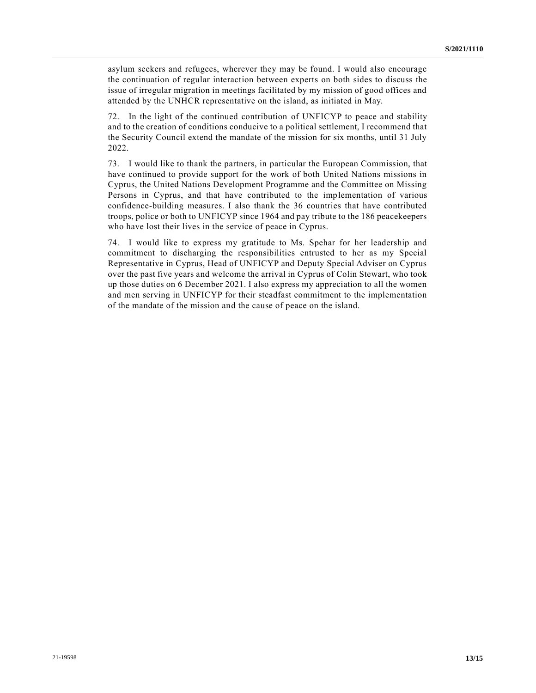asylum seekers and refugees, wherever they may be found. I would also encourage the continuation of regular interaction between experts on both sides to discuss the issue of irregular migration in meetings facilitated by my mission of good offices and attended by the UNHCR representative on the island, as initiated in May.

72. In the light of the continued contribution of UNFICYP to peace and stability and to the creation of conditions conducive to a political settlement, I recommend that the Security Council extend the mandate of the mission for six months, until 31 July 2022.

73. I would like to thank the partners, in particular the European Commission, that have continued to provide support for the work of both United Nations missions in Cyprus, the United Nations Development Programme and the Committee on Missing Persons in Cyprus, and that have contributed to the implementation of various confidence-building measures. I also thank the 36 countries that have contributed troops, police or both to UNFICYP since 1964 and pay tribute to the 186 peacekeepers who have lost their lives in the service of peace in Cyprus.

74. I would like to express my gratitude to Ms. Spehar for her leadership and commitment to discharging the responsibilities entrusted to her as my Special Representative in Cyprus, Head of UNFICYP and Deputy Special Adviser on Cyprus over the past five years and welcome the arrival in Cyprus of Colin Stewart, who took up those duties on 6 December 2021. I also express my appreciation to all the women and men serving in UNFICYP for their steadfast commitment to the implementation of the mandate of the mission and the cause of peace on the island.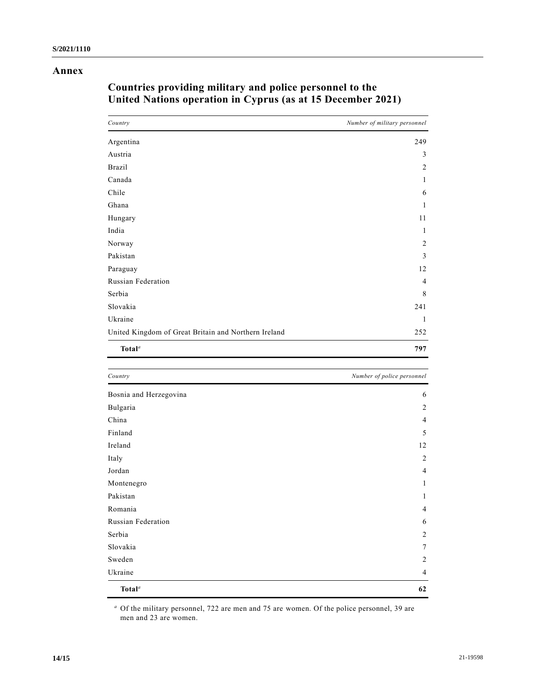### **Annex**

| Country                                              | Number of military personnel |
|------------------------------------------------------|------------------------------|
| Argentina                                            | 249                          |
| Austria                                              | 3                            |
| <b>Brazil</b>                                        | 2                            |
| Canada                                               | 1                            |
| Chile                                                | 6                            |
| Ghana                                                | 1                            |
| Hungary                                              | 11                           |
| India                                                | 1                            |
| Norway                                               | 2                            |
| Pakistan                                             | 3                            |
| Paraguay                                             | 12                           |
| Russian Federation                                   | $\overline{4}$               |
| Serbia                                               | 8                            |
| Slovakia                                             | 241                          |
| Ukraine                                              | 1                            |
| United Kingdom of Great Britain and Northern Ireland | 252                          |
| Total <sup>a</sup>                                   | 797                          |

# **Countries providing military and police personnel to the United Nations operation in Cyprus (as at 15 December 2021)**

| Country                         | Number of police personnel |
|---------------------------------|----------------------------|
| Bosnia and Herzegovina          | 6                          |
| Bulgaria                        | 2                          |
| China                           | $\overline{4}$             |
| Finland                         | 5                          |
| Ireland                         | 12                         |
| Italy                           | $\sqrt{2}$                 |
| Jordan                          | $\overline{4}$             |
| Montenegro                      | 1                          |
| Pakistan                        | 1                          |
| Romania                         | $\overline{4}$             |
| Russian Federation              | 6                          |
| Serbia                          | $\overline{2}$             |
| Slovakia                        | $\tau$                     |
| Sweden                          | $\overline{c}$             |
| Ukraine                         | $\overline{4}$             |
| Total <sup><math>a</math></sup> | 62                         |

*<sup>a</sup>* Of the military personnel, 722 are men and 75 are women. Of the police personnel, 39 are men and 23 are women.